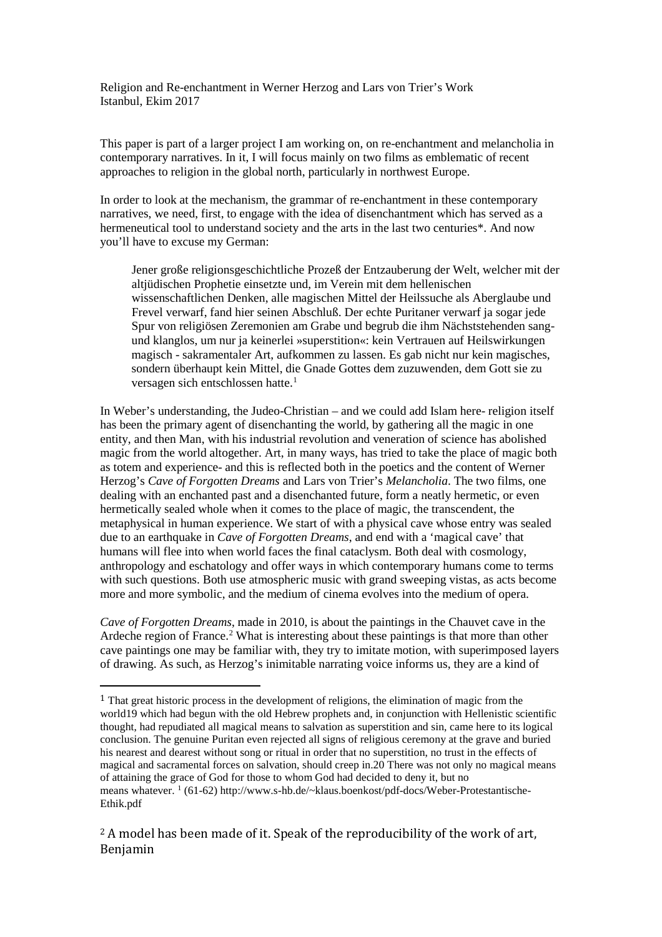Religion and Re-enchantment in Werner Herzog and Lars von Trier's Work Istanbul, Ekim 2017

This paper is part of a larger project I am working on, on re-enchantment and melancholia in contemporary narratives. In it, I will focus mainly on two films as emblematic of recent approaches to religion in the global north, particularly in northwest Europe.

In order to look at the mechanism, the grammar of re-enchantment in these contemporary narratives, we need, first, to engage with the idea of disenchantment which has served as a hermeneutical tool to understand society and the arts in the last two centuries\*. And now you'll have to excuse my German:

Jener große religionsgeschichtliche Prozeß der Entzauberung der Welt, welcher mit der altjüdischen Prophetie einsetzte und, im Verein mit dem hellenischen wissenschaftlichen Denken, alle magischen Mittel der Heilssuche als Aberglaube und Frevel verwarf, fand hier seinen Abschluß. Der echte Puritaner verwarf ja sogar jede Spur von religiösen Zeremonien am Grabe und begrub die ihm Nächststehenden sangund klanglos, um nur ja keinerlei »superstition«: kein Vertrauen auf Heilswirkungen magisch - sakramentaler Art, aufkommen zu lassen. Es gab nicht nur kein magisches, sondern überhaupt kein Mittel, die Gnade Gottes dem zuzuwenden, dem Gott sie zu versagen sich entschlossen hatte.<sup>[1](#page-0-0)</sup>

In Weber's understanding, the Judeo-Christian – and we could add Islam here- religion itself has been the primary agent of disenchanting the world, by gathering all the magic in one entity, and then Man, with his industrial revolution and veneration of science has abolished magic from the world altogether. Art, in many ways, has tried to take the place of magic both as totem and experience- and this is reflected both in the poetics and the content of Werner Herzog's *Cave of Forgotten Dreams* and Lars von Trier's *Melancholia*. The two films, one dealing with an enchanted past and a disenchanted future, form a neatly hermetic, or even hermetically sealed whole when it comes to the place of magic, the transcendent, the metaphysical in human experience. We start of with a physical cave whose entry was sealed due to an earthquake in *Cave of Forgotten Dreams*, and end with a 'magical cave' that humans will flee into when world faces the final cataclysm. Both deal with cosmology, anthropology and eschatology and offer ways in which contemporary humans come to terms with such questions. Both use atmospheric music with grand sweeping vistas, as acts become more and more symbolic, and the medium of cinema evolves into the medium of opera.

*Cave of Forgotten Dreams*, made in 2010, is about the paintings in the Chauvet cave in the Ardeche region of France.<sup>[2](#page-0-1)</sup> What is interesting about these paintings is that more than other cave paintings one may be familiar with, they try to imitate motion, with superimposed layers of drawing. As such, as Herzog's inimitable narrating voice informs us, they are a kind of

<span id="page-0-0"></span> <sup>1</sup> That great historic process in the development of religions, the elimination of magic from the world19 which had begun with the old Hebrew prophets and, in conjunction with Hellenistic scientific thought, had repudiated all magical means to salvation as superstition and sin, came here to its logical conclusion. The genuine Puritan even rejected all signs of religious ceremony at the grave and buried his nearest and dearest without song or ritual in order that no superstition, no trust in the effects of magical and sacramental forces on salvation, should creep in.20 There was not only no magical means of attaining the grace of God for those to whom God had decided to deny it, but no means whatever. 1 (61-62) http://www.s-hb.de/~klaus.boenkost/pdf-docs/Weber-Protestantische-Ethik.pdf

<span id="page-0-1"></span><sup>&</sup>lt;sup>2</sup> A model has been made of it. Speak of the reproducibility of the work of art, Benjamin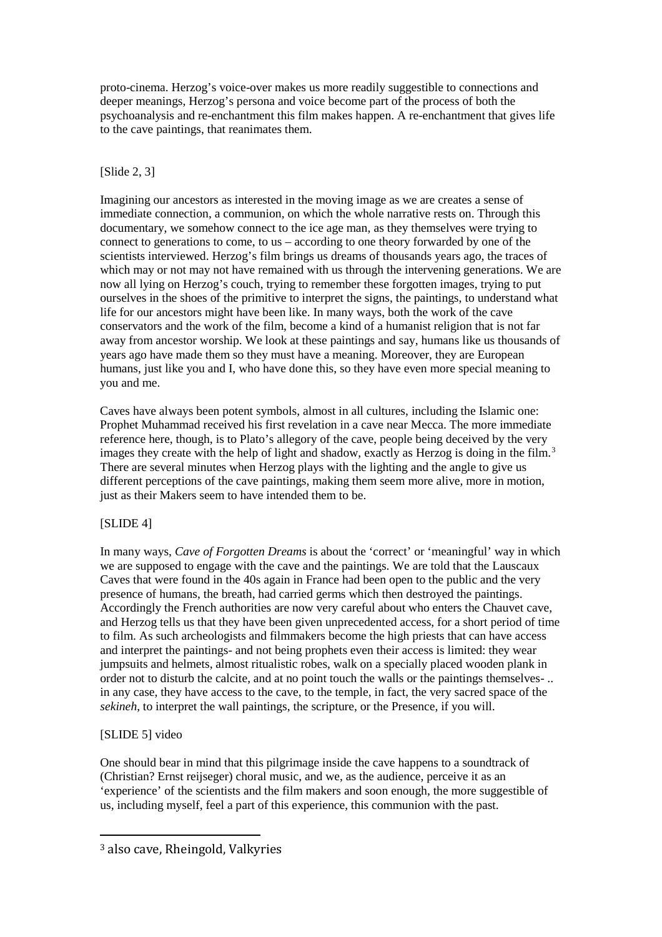proto-cinema. Herzog's voice-over makes us more readily suggestible to connections and deeper meanings, Herzog's persona and voice become part of the process of both the psychoanalysis and re-enchantment this film makes happen. A re-enchantment that gives life to the cave paintings, that reanimates them.

### [Slide 2, 3]

Imagining our ancestors as interested in the moving image as we are creates a sense of immediate connection, a communion, on which the whole narrative rests on. Through this documentary, we somehow connect to the ice age man, as they themselves were trying to connect to generations to come, to us – according to one theory forwarded by one of the scientists interviewed. Herzog's film brings us dreams of thousands years ago, the traces of which may or not may not have remained with us through the intervening generations. We are now all lying on Herzog's couch, trying to remember these forgotten images, trying to put ourselves in the shoes of the primitive to interpret the signs, the paintings, to understand what life for our ancestors might have been like. In many ways, both the work of the cave conservators and the work of the film, become a kind of a humanist religion that is not far away from ancestor worship. We look at these paintings and say, humans like us thousands of years ago have made them so they must have a meaning. Moreover, they are European humans, just like you and I, who have done this, so they have even more special meaning to you and me.

Caves have always been potent symbols, almost in all cultures, including the Islamic one: Prophet Muhammad received his first revelation in a cave near Mecca. The more immediate reference here, though, is to Plato's allegory of the cave, people being deceived by the very images they create with the help of light and shadow, exactly as Herzog is doing in the film.<sup>[3](#page-1-0)</sup> There are several minutes when Herzog plays with the lighting and the angle to give us different perceptions of the cave paintings, making them seem more alive, more in motion, just as their Makers seem to have intended them to be.

# [SLIDE 4]

In many ways, *Cave of Forgotten Dreams* is about the 'correct' or 'meaningful' way in which we are supposed to engage with the cave and the paintings. We are told that the Lauscaux Caves that were found in the 40s again in France had been open to the public and the very presence of humans, the breath, had carried germs which then destroyed the paintings. Accordingly the French authorities are now very careful about who enters the Chauvet cave, and Herzog tells us that they have been given unprecedented access, for a short period of time to film. As such archeologists and filmmakers become the high priests that can have access and interpret the paintings- and not being prophets even their access is limited: they wear jumpsuits and helmets, almost ritualistic robes, walk on a specially placed wooden plank in order not to disturb the calcite, and at no point touch the walls or the paintings themselves- .. in any case, they have access to the cave, to the temple, in fact, the very sacred space of the *sekineh*, to interpret the wall paintings, the scripture, or the Presence, if you will.

# [SLIDE 5] video

One should bear in mind that this pilgrimage inside the cave happens to a soundtrack of (Christian? Ernst reijseger) choral music, and we, as the audience, perceive it as an 'experience' of the scientists and the film makers and soon enough, the more suggestible of us, including myself, feel a part of this experience, this communion with the past.

<span id="page-1-0"></span> <sup>3</sup> also cave, Rheingold, Valkyries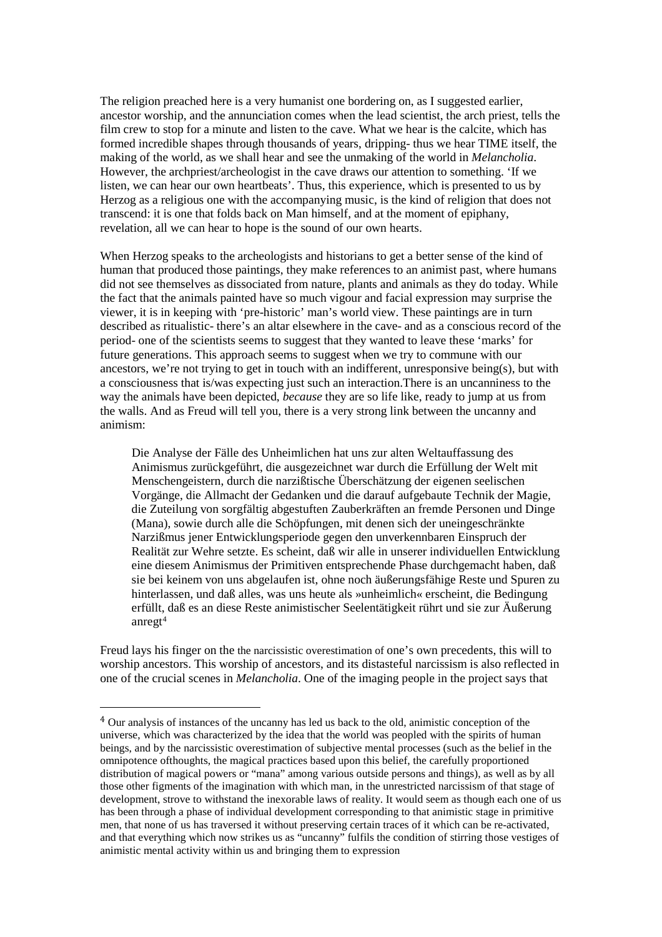The religion preached here is a very humanist one bordering on, as I suggested earlier, ancestor worship, and the annunciation comes when the lead scientist, the arch priest, tells the film crew to stop for a minute and listen to the cave. What we hear is the calcite, which has formed incredible shapes through thousands of years, dripping- thus we hear TIME itself, the making of the world, as we shall hear and see the unmaking of the world in *Melancholia*. However, the archpriest/archeologist in the cave draws our attention to something. 'If we listen, we can hear our own heartbeats'. Thus, this experience, which is presented to us by Herzog as a religious one with the accompanying music, is the kind of religion that does not transcend: it is one that folds back on Man himself, and at the moment of epiphany, revelation, all we can hear to hope is the sound of our own hearts.

When Herzog speaks to the archeologists and historians to get a better sense of the kind of human that produced those paintings, they make references to an animist past, where humans did not see themselves as dissociated from nature, plants and animals as they do today. While the fact that the animals painted have so much vigour and facial expression may surprise the viewer, it is in keeping with 'pre-historic' man's world view. These paintings are in turn described as ritualistic- there's an altar elsewhere in the cave- and as a conscious record of the period- one of the scientists seems to suggest that they wanted to leave these 'marks' for future generations. This approach seems to suggest when we try to commune with our ancestors, we're not trying to get in touch with an indifferent, unresponsive being(s), but with a consciousness that is/was expecting just such an interaction.There is an uncanniness to the way the animals have been depicted, *because* they are so life like, ready to jump at us from the walls. And as Freud will tell you, there is a very strong link between the uncanny and animism:

Die Analyse der Fälle des Unheimlichen hat uns zur alten Weltauffassung des Animismus zurückgeführt, die ausgezeichnet war durch die Erfüllung der Welt mit Menschengeistern, durch die narzißtische Überschätzung der eigenen seelischen Vorgänge, die Allmacht der Gedanken und die darauf aufgebaute Technik der Magie, die Zuteilung von sorgfältig abgestuften Zauberkräften an fremde Personen und Dinge (Mana), sowie durch alle die Schöpfungen, mit denen sich der uneingeschränkte Narzißmus jener Entwicklungsperiode gegen den unverkennbaren Einspruch der Realität zur Wehre setzte. Es scheint, daß wir alle in unserer individuellen Entwicklung eine diesem Animismus der Primitiven entsprechende Phase durchgemacht haben, daß sie bei keinem von uns abgelaufen ist, ohne noch äußerungsfähige Reste und Spuren zu hinterlassen, und daß alles, was uns heute als »unheimlich« erscheint, die Bedingung erfüllt, daß es an diese Reste animistischer Seelentätigkeit rührt und sie zur Äußerung  $\text{an} \text{reg} \mathfrak{t}^4$  $\text{an} \text{reg} \mathfrak{t}^4$ 

Freud lays his finger on the the narcissistic overestimation of one's own precedents, this will to worship ancestors. This worship of ancestors, and its distasteful narcissism is also reflected in one of the crucial scenes in *Melancholia*. One of the imaging people in the project says that

<span id="page-2-0"></span> <sup>4</sup> Our analysis of instances of the uncanny has led us back to the old, animistic conception of the universe, which was characterized by the idea that the world was peopled with the spirits of human beings, and by the narcissistic overestimation of subjective mental processes (such as the belief in the omnipotence ofthoughts, the magical practices based upon this belief, the carefully proportioned distribution of magical powers or "mana" among various outside persons and things), as well as by all those other figments of the imagination with which man, in the unrestricted narcissism of that stage of development, strove to withstand the inexorable laws of reality. It would seem as though each one of us has been through a phase of individual development corresponding to that animistic stage in primitive men, that none of us has traversed it without preserving certain traces of it which can be re-activated, and that everything which now strikes us as "uncanny" fulfils the condition of stirring those vestiges of animistic mental activity within us and bringing them to expression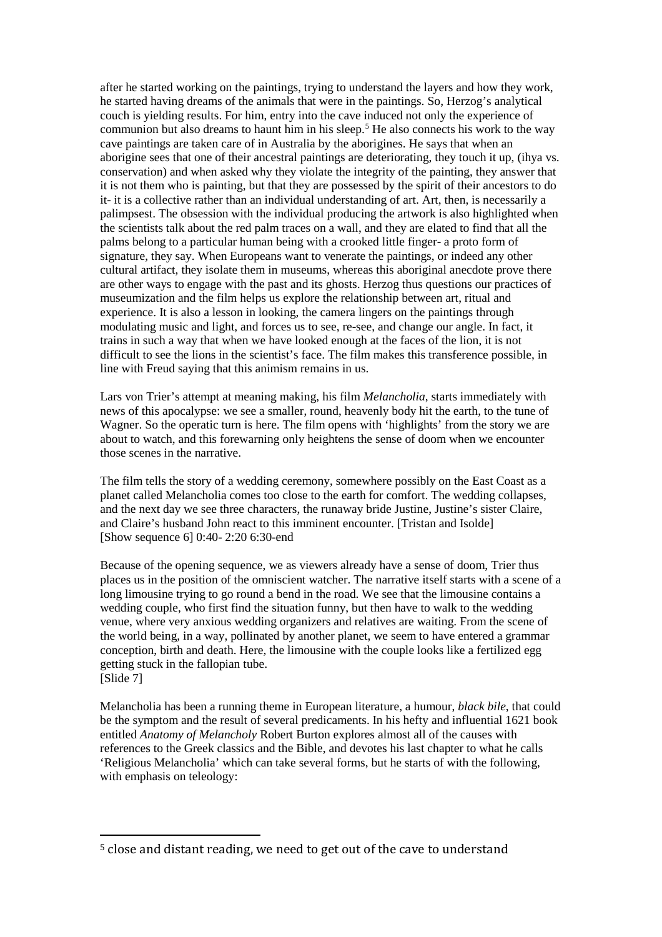after he started working on the paintings, trying to understand the layers and how they work, he started having dreams of the animals that were in the paintings. So, Herzog's analytical couch is yielding results. For him, entry into the cave induced not only the experience of communion but also dreams to haunt him in his sleep.<sup>[5](#page-3-0)</sup> He also connects his work to the way cave paintings are taken care of in Australia by the aborigines. He says that when an aborigine sees that one of their ancestral paintings are deteriorating, they touch it up, (ihya vs. conservation) and when asked why they violate the integrity of the painting, they answer that it is not them who is painting, but that they are possessed by the spirit of their ancestors to do it- it is a collective rather than an individual understanding of art. Art, then, is necessarily a palimpsest. The obsession with the individual producing the artwork is also highlighted when the scientists talk about the red palm traces on a wall, and they are elated to find that all the palms belong to a particular human being with a crooked little finger- a proto form of signature, they say. When Europeans want to venerate the paintings, or indeed any other cultural artifact, they isolate them in museums, whereas this aboriginal anecdote prove there are other ways to engage with the past and its ghosts. Herzog thus questions our practices of museumization and the film helps us explore the relationship between art, ritual and experience. It is also a lesson in looking, the camera lingers on the paintings through modulating music and light, and forces us to see, re-see, and change our angle. In fact, it trains in such a way that when we have looked enough at the faces of the lion, it is not difficult to see the lions in the scientist's face. The film makes this transference possible, in line with Freud saying that this animism remains in us.

Lars von Trier's attempt at meaning making, his film *Melancholia*, starts immediately with news of this apocalypse: we see a smaller, round, heavenly body hit the earth, to the tune of Wagner. So the operatic turn is here. The film opens with 'highlights' from the story we are about to watch, and this forewarning only heightens the sense of doom when we encounter those scenes in the narrative.

The film tells the story of a wedding ceremony, somewhere possibly on the East Coast as a planet called Melancholia comes too close to the earth for comfort. The wedding collapses, and the next day we see three characters, the runaway bride Justine, Justine's sister Claire, and Claire's husband John react to this imminent encounter. [Tristan and Isolde] [Show sequence 6] 0:40- 2:20 6:30-end

Because of the opening sequence, we as viewers already have a sense of doom, Trier thus places us in the position of the omniscient watcher. The narrative itself starts with a scene of a long limousine trying to go round a bend in the road. We see that the limousine contains a wedding couple, who first find the situation funny, but then have to walk to the wedding venue, where very anxious wedding organizers and relatives are waiting. From the scene of the world being, in a way, pollinated by another planet, we seem to have entered a grammar conception, birth and death. Here, the limousine with the couple looks like a fertilized egg getting stuck in the fallopian tube. [Slide 7]

Melancholia has been a running theme in European literature, a humour, *black bile*, that could be the symptom and the result of several predicaments. In his hefty and influential 1621 book entitled *Anatomy of Melancholy* Robert Burton explores almost all of the causes with references to the Greek classics and the Bible, and devotes his last chapter to what he calls 'Religious Melancholia' which can take several forms, but he starts of with the following, with emphasis on teleology:

<span id="page-3-0"></span> <sup>5</sup> close and distant reading, we need to get out of the cave to understand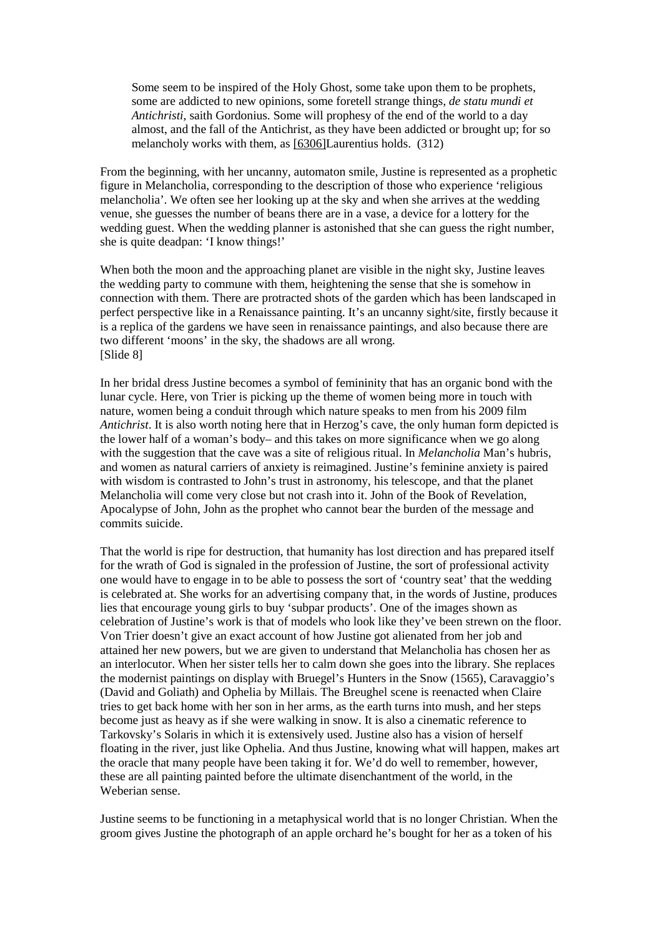Some seem to be inspired of the Holy Ghost, some take upon them to be prophets, some are addicted to new opinions, some foretell strange things, *de statu mundi et Antichristi*, saith Gordonius. Some will prophesy of the end of the world to a day almost, and the fall of the Antichrist, as they have been addicted or brought up; for so melancholy works with them, as [\[6306\]L](http://www.gutenberg.org/files/10800/10800-h/ampart3.html#note6306)aurentius holds. (312)

From the beginning, with her uncanny, automaton smile, Justine is represented as a prophetic figure in Melancholia, corresponding to the description of those who experience 'religious melancholia'. We often see her looking up at the sky and when she arrives at the wedding venue, she guesses the number of beans there are in a vase, a device for a lottery for the wedding guest. When the wedding planner is astonished that she can guess the right number, she is quite deadpan: 'I know things!'

When both the moon and the approaching planet are visible in the night sky, Justine leaves the wedding party to commune with them, heightening the sense that she is somehow in connection with them. There are protracted shots of the garden which has been landscaped in perfect perspective like in a Renaissance painting. It's an uncanny sight/site, firstly because it is a replica of the gardens we have seen in renaissance paintings, and also because there are two different 'moons' in the sky, the shadows are all wrong. [Slide 8]

In her bridal dress Justine becomes a symbol of femininity that has an organic bond with the lunar cycle. Here, von Trier is picking up the theme of women being more in touch with nature, women being a conduit through which nature speaks to men from his 2009 film *Antichrist*. It is also worth noting here that in Herzog's cave, the only human form depicted is the lower half of a woman's body– and this takes on more significance when we go along with the suggestion that the cave was a site of religious ritual. In *Melancholia* Man's hubris, and women as natural carriers of anxiety is reimagined. Justine's feminine anxiety is paired with wisdom is contrasted to John's trust in astronomy, his telescope, and that the planet Melancholia will come very close but not crash into it. John of the Book of Revelation, Apocalypse of John, John as the prophet who cannot bear the burden of the message and commits suicide.

That the world is ripe for destruction, that humanity has lost direction and has prepared itself for the wrath of God is signaled in the profession of Justine, the sort of professional activity one would have to engage in to be able to possess the sort of 'country seat' that the wedding is celebrated at. She works for an advertising company that, in the words of Justine, produces lies that encourage young girls to buy 'subpar products'. One of the images shown as celebration of Justine's work is that of models who look like they've been strewn on the floor. Von Trier doesn't give an exact account of how Justine got alienated from her job and attained her new powers, but we are given to understand that Melancholia has chosen her as an interlocutor. When her sister tells her to calm down she goes into the library. She replaces the modernist paintings on display with Bruegel's Hunters in the Snow (1565), Caravaggio's (David and Goliath) and Ophelia by Millais. The Breughel scene is reenacted when Claire tries to get back home with her son in her arms, as the earth turns into mush, and her steps become just as heavy as if she were walking in snow. It is also a cinematic reference to Tarkovsky's Solaris in which it is extensively used. Justine also has a vision of herself floating in the river, just like Ophelia. And thus Justine, knowing what will happen, makes art the oracle that many people have been taking it for. We'd do well to remember, however, these are all painting painted before the ultimate disenchantment of the world, in the Weberian sense.

Justine seems to be functioning in a metaphysical world that is no longer Christian. When the groom gives Justine the photograph of an apple orchard he's bought for her as a token of his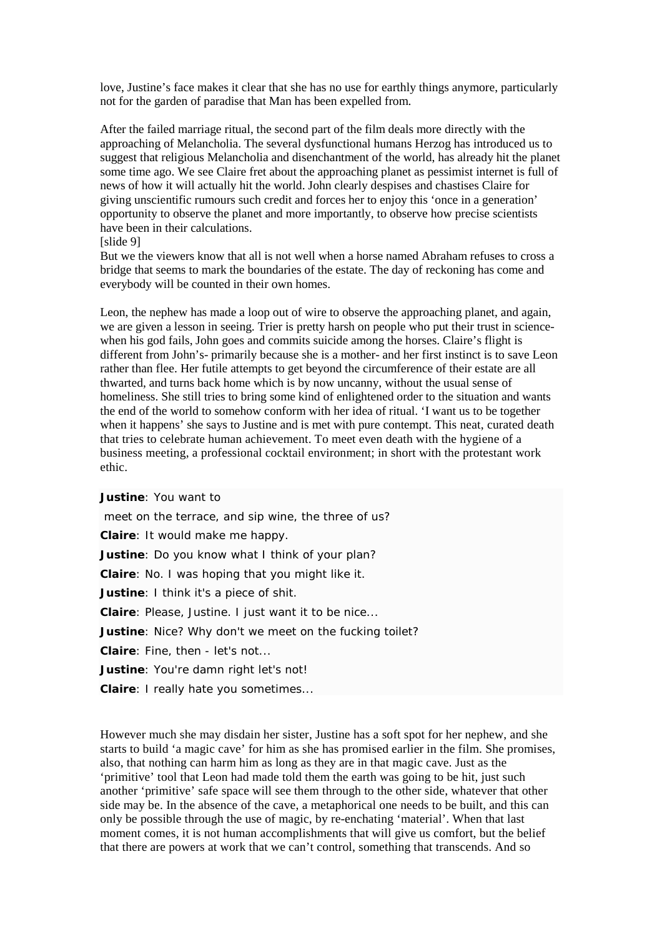love, Justine's face makes it clear that she has no use for earthly things anymore, particularly not for the garden of paradise that Man has been expelled from.

After the failed marriage ritual, the second part of the film deals more directly with the approaching of Melancholia. The several dysfunctional humans Herzog has introduced us to suggest that religious Melancholia and disenchantment of the world, has already hit the planet some time ago. We see Claire fret about the approaching planet as pessimist internet is full of news of how it will actually hit the world. John clearly despises and chastises Claire for giving unscientific rumours such credit and forces her to enjoy this 'once in a generation' opportunity to observe the planet and more importantly, to observe how precise scientists have been in their calculations.

#### [slide 9]

But we the viewers know that all is not well when a horse named Abraham refuses to cross a bridge that seems to mark the boundaries of the estate. The day of reckoning has come and everybody will be counted in their own homes.

Leon, the nephew has made a loop out of wire to observe the approaching planet, and again, we are given a lesson in seeing. Trier is pretty harsh on people who put their trust in sciencewhen his god fails, John goes and commits suicide among the horses. Claire's flight is different from John's- primarily because she is a mother- and her first instinct is to save Leon rather than flee. Her futile attempts to get beyond the circumference of their estate are all thwarted, and turns back home which is by now uncanny, without the usual sense of homeliness. She still tries to bring some kind of enlightened order to the situation and wants the end of the world to somehow conform with her idea of ritual. 'I want us to be together when it happens' she says to Justine and is met with pure contempt. This neat, curated death that tries to celebrate human achievement. To meet even death with the hygiene of a business meeting, a professional cocktail environment; in short with the protestant work ethic.

#### **[Justine](http://www.imdb.com/name/nm0000379/?ref_=tt_trv_qu)**: You want to

meet on the terrace, and sip wine, the three of us? **[Claire](http://www.imdb.com/name/nm0001250/?ref_=tt_trv_qu)**: It would make me happy. **[Justine](http://www.imdb.com/name/nm0000379/?ref_=tt_trv_qu)**: Do you know what I think of your plan? **[Claire](http://www.imdb.com/name/nm0001250/?ref_=tt_trv_qu)**: No. I was hoping that you might like it. **[Justine](http://www.imdb.com/name/nm0000379/?ref_=tt_trv_qu)**: I think it's a piece of shit. **[Claire](http://www.imdb.com/name/nm0001250/?ref_=tt_trv_qu)**: Please, Justine. I just want it to be nice... **[Justine](http://www.imdb.com/name/nm0000379/?ref_=tt_trv_qu)**: Nice? Why don't we meet on the fucking toilet? **[Claire](http://www.imdb.com/name/nm0001250/?ref_=tt_trv_qu)**: Fine, then - let's not... **[Justine](http://www.imdb.com/name/nm0000379/?ref_=tt_trv_qu)**: You're damn right let's not!

**[Claire](http://www.imdb.com/name/nm0001250/?ref_=tt_trv_qu)**: I really hate you sometimes...

However much she may disdain her sister, Justine has a soft spot for her nephew, and she starts to build 'a magic cave' for him as she has promised earlier in the film. She promises, also, that nothing can harm him as long as they are in that magic cave. Just as the 'primitive' tool that Leon had made told them the earth was going to be hit, just such another 'primitive' safe space will see them through to the other side, whatever that other side may be. In the absence of the cave, a metaphorical one needs to be built, and this can only be possible through the use of magic, by re-enchating 'material'. When that last moment comes, it is not human accomplishments that will give us comfort, but the belief that there are powers at work that we can't control, something that transcends. And so